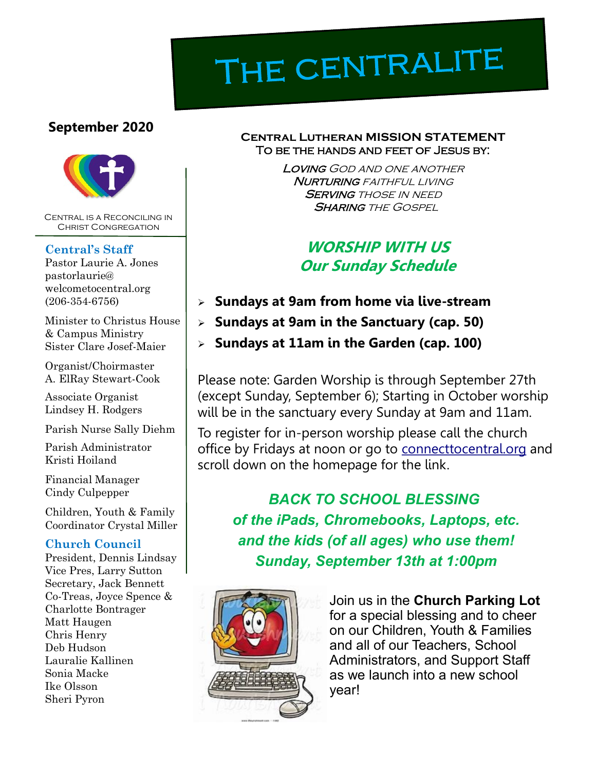# THE CENTRALITE

#### **September 2020**



Central is a Reconciling in Christ Congregation

#### **Central's Staff**

Pastor Laurie A. Jones pastorlaurie@ welcometocentral.org (206-354-6756)

Minister to Christus House & Campus Ministry Sister Clare Josef-Maier

Organist/Choirmaster A. ElRay Stewart-Cook

Associate Organist Lindsey H. Rodgers

Parish Nurse Sally Diehm

Parish Administrator Kristi Hoiland

Financial Manager Cindy Culpepper

Children, Youth & Family Coordinator Crystal Miller

#### **Church Council**

President, Dennis Lindsay Vice Pres, Larry Sutton Secretary, Jack Bennett Co-Treas, Joyce Spence & Charlotte Bontrager Matt Haugen Chris Henry Deb Hudson Lauralie Kallinen Sonia Macke Ike Olsson Sheri Pyron

#### **Central Lutheran MISSION STATEMENT** To be the hands and feet of Jesus by:

Loving God and one another **NURTURING** FAITHFUL LIVING **SERVING THOSE IN NEED SHARING THE GOSPEL** 

## **WORSHIP WITH US Our Sunday Schedule**

- ➢ **Sundays at 9am from home via live-stream**
- ➢ **Sundays at 9am in the Sanctuary (cap. 50)**
- ➢ **Sundays at 11am in the Garden (cap. 100)**

Please note: Garden Worship is through September 27th (except Sunday, September 6); Starting in October worship will be in the sanctuary every Sunday at 9am and 11am.

To register for in-person worship please call the church office by Fridays at noon or go to <connecttocentral.org> and scroll down on the homepage for the link.

*BACK TO SCHOOL BLESSING of the iPads, Chromebooks, Laptops, etc. and the kids (of all ages) who use them! Sunday, September 13th at 1:00pm*



Join us in the **Church Parking Lot**  for a special blessing and to cheer on our Children, Youth & Families and all of our Teachers, School Administrators, and Support Staff as we launch into a new school year!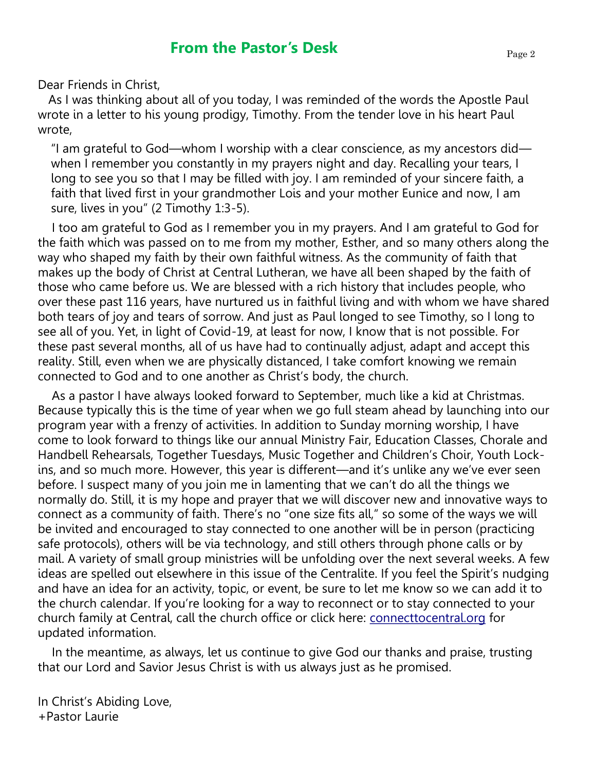Dear Friends in Christ,

 As I was thinking about all of you today, I was reminded of the words the Apostle Paul wrote in a letter to his young prodigy, Timothy. From the tender love in his heart Paul wrote,

"I am grateful to God—whom I worship with a clear conscience, as my ancestors did when I remember you constantly in my prayers night and day. Recalling your tears, I long to see you so that I may be filled with joy. I am reminded of your sincere faith, a faith that lived first in your grandmother Lois and your mother Eunice and now, I am sure, lives in you" (2 Timothy 1:3-5).

 I too am grateful to God as I remember you in my prayers. And I am grateful to God for the faith which was passed on to me from my mother, Esther, and so many others along the way who shaped my faith by their own faithful witness. As the community of faith that makes up the body of Christ at Central Lutheran, we have all been shaped by the faith of those who came before us. We are blessed with a rich history that includes people, who over these past 116 years, have nurtured us in faithful living and with whom we have shared both tears of joy and tears of sorrow. And just as Paul longed to see Timothy, so I long to see all of you. Yet, in light of Covid-19, at least for now, I know that is not possible. For these past several months, all of us have had to continually adjust, adapt and accept this reality. Still, even when we are physically distanced, I take comfort knowing we remain connected to God and to one another as Christ's body, the church.

 As a pastor I have always looked forward to September, much like a kid at Christmas. Because typically this is the time of year when we go full steam ahead by launching into our program year with a frenzy of activities. In addition to Sunday morning worship, I have come to look forward to things like our annual Ministry Fair, Education Classes, Chorale and Handbell Rehearsals, Together Tuesdays, Music Together and Children's Choir, Youth Lockins, and so much more. However, this year is different—and it's unlike any we've ever seen before. I suspect many of you join me in lamenting that we can't do all the things we normally do. Still, it is my hope and prayer that we will discover new and innovative ways to connect as a community of faith. There's no "one size fits all," so some of the ways we will be invited and encouraged to stay connected to one another will be in person (practicing safe protocols), others will be via technology, and still others through phone calls or by mail. A variety of small group ministries will be unfolding over the next several weeks. A few ideas are spelled out elsewhere in this issue of the Centralite. If you feel the Spirit's nudging and have an idea for an activity, topic, or event, be sure to let me know so we can add it to the church calendar. If you're looking for a way to reconnect or to stay connected to your church family at Central, call the church office or click here: [connecttocentral.org](http://connecttocentral.org) for updated information.

 In the meantime, as always, let us continue to give God our thanks and praise, trusting that our Lord and Savior Jesus Christ is with us always just as he promised.

In Christ's Abiding Love, +Pastor Laurie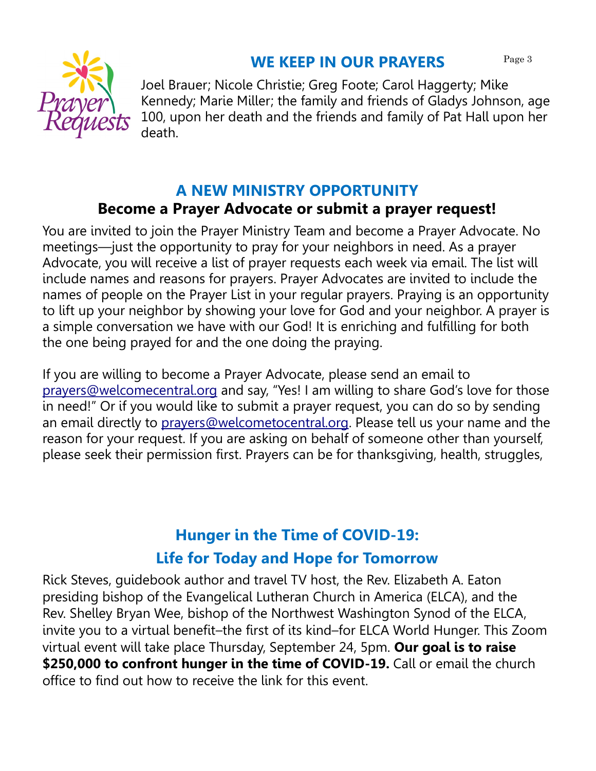

Joel Brauer; Nicole Christie; Greg Foote; Carol Haggerty; Mike Kennedy; Marie Miller; the family and friends of Gladys Johnson, age 100, upon her death and the friends and family of Pat Hall upon her death.

## **A NEW MINISTRY OPPORTUNITY Become a Prayer Advocate or submit a prayer request!**

You are invited to join the Prayer Ministry Team and become a Prayer Advocate. No meetings—just the opportunity to pray for your neighbors in need. As a prayer Advocate, you will receive a list of prayer requests each week via email. The list will include names and reasons for prayers. Prayer Advocates are invited to include the names of people on the Prayer List in your regular prayers. Praying is an opportunity to lift up your neighbor by showing your love for God and your neighbor. A prayer is a simple conversation we have with our God! It is enriching and fulfilling for both the one being prayed for and the one doing the praying.

If you are willing to become a Prayer Advocate, please send an email to [prayers@welcomecentral.org](mailto:prayers@welcomecentral.org) and say, "Yes! I am willing to share God's love for those in need!" Or if you would like to submit a prayer request, you can do so by sending an email directly to [prayers@welcometocentral.org.](mailto:prayers@welcometocentral.org) Please tell us your name and the reason for your request. If you are asking on behalf of someone other than yourself, please seek their permission first. Prayers can be for thanksgiving, health, struggles,

# **Hunger in the Time of COVID-19: Life for Today and Hope for Tomorrow**

[Rick Steves,](https://community.elca.org/page.redir?target=https%3a%2f%2fwww.ricksteves.com%2fabout-rick&srcid=233978&srctid=1&erid=5d4cab9c-dec5-4d74-a3f0-bb3dd1984e6e&trid=5d4cab9c-dec5-4d74-a3f0-bb3dd1984e6e) guidebook author and travel TV host, the Rev. [Elizabeth A. Eaton](https://community.elca.org/page.redir?target=https%3a%2f%2fwww.elca.org%2fabout%2fleadership%2fchurchwide-officers%2fpresiding-bishop&srcid=233978&srctid=1&erid=5d4cab9c-dec5-4d74-a3f0-bb3dd1984e6e&trid=5d4cab9c-dec5-4d74-a3f0-bb3dd1984e6e) presiding bishop of the Evangelical Lutheran Church in America (ELCA), and the Rev. [Shelley Bryan Wee,](https://community.elca.org/page.redir?target=https%3a%2f%2fwww.lutheransnw.org%2fsynod-staff&srcid=233978&srctid=1&erid=5d4cab9c-dec5-4d74-a3f0-bb3dd1984e6e&trid=5d4cab9c-dec5-4d74-a3f0-bb3dd1984e6e) bishop of the Northwest Washington Synod of the ELCA, invite you to a virtual benefit–the first of its kind–for ELCA World Hunger. This Zoom virtual event will take place Thursday, September 24, 5pm. **Our goal is to raise \$250,000 to confront hunger in the time of COVID-19.** Call or email the church office to find out how to receive the link for this event.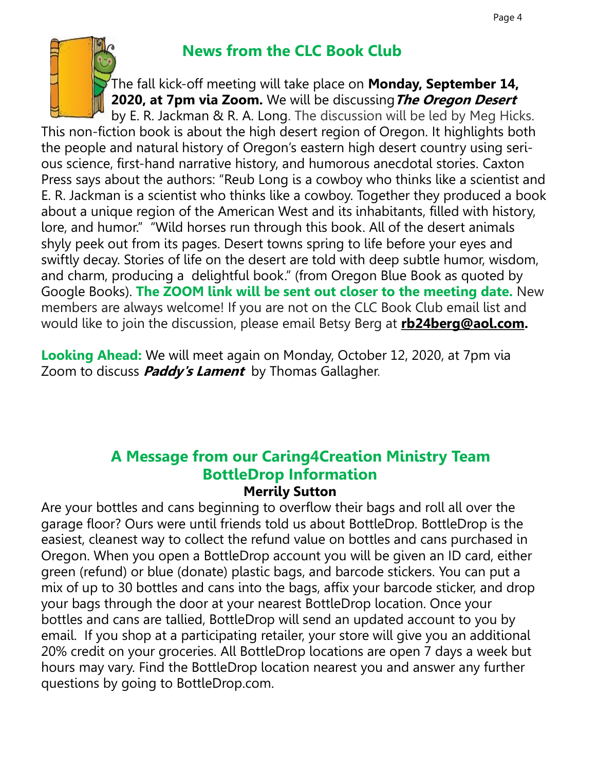

# **News from the CLC Book Club**

The fall kick-off meeting will take place on **Monday, September 14, 2020, at 7pm via Zoom.** We will be discussing**The Oregon Desert**

by E. R. Jackman & R. A. Long. The discussion will be led by Meg Hicks. This non-fiction book is about the high desert region of Oregon. It highlights both the people and natural history of Oregon's eastern high desert country using serious science, first-hand narrative history, and humorous anecdotal stories. Caxton Press says about the authors: "Reub Long is a cowboy who thinks like a scientist and E. R. Jackman is a scientist who thinks like a cowboy. Together they produced a book about a unique region of the American West and its inhabitants, filled with history, lore, and humor." "Wild horses run through this book. All of the desert animals shyly peek out from its pages. Desert towns spring to life before your eyes and swiftly decay. Stories of life on the desert are told with deep subtle humor, wisdom, and charm, producing a delightful book." (from Oregon Blue Book as quoted by Google Books). **The ZOOM link will be sent out closer to the meeting date.** New members are always welcome! If you are not on the CLC Book Club email list and would like to join the discussion, please email Betsy Berg at **[rb24berg@aol.com.](mailto:rb24berg@aol.com)** 

**Looking Ahead:** We will meet again on Monday, October 12, 2020, at 7pm via Zoom to discuss **Paddy's Lament** by Thomas Gallagher.

#### **A Message from our Caring4Creation Ministry Team BottleDrop Information Merrily Sutton**

Are your bottles and cans beginning to overflow their bags and roll all over the garage floor? Ours were until friends told us about BottleDrop. BottleDrop is the easiest, cleanest way to collect the refund value on bottles and cans purchased in Oregon. When you open a BottleDrop account you will be given an ID card, either green (refund) or blue (donate) plastic bags, and barcode stickers. You can put a mix of up to 30 bottles and cans into the bags, affix your barcode sticker, and drop your bags through the door at your nearest BottleDrop location. Once your bottles and cans are tallied, BottleDrop will send an updated account to you by email. If you shop at a participating retailer, your store will give you an additional 20% credit on your groceries. All BottleDrop locations are open 7 days a week but hours may vary. Find the BottleDrop location nearest you and answer any further questions by going to BottleDrop.com.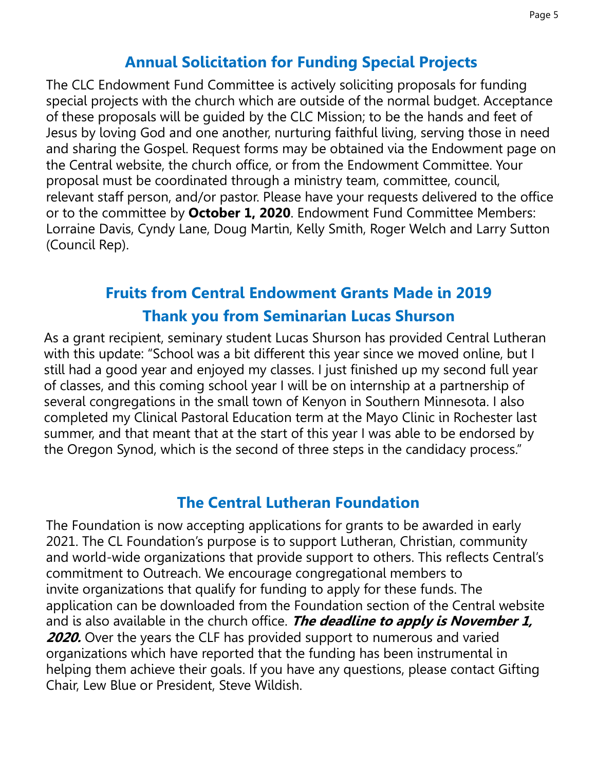## **Annual Solicitation for Funding Special Projects**

The CLC Endowment Fund Committee is actively soliciting proposals for funding special projects with the church which are outside of the normal budget. Acceptance of these proposals will be guided by the CLC Mission; to be the hands and feet of Jesus by loving God and one another, nurturing faithful living, serving those in need and sharing the Gospel. Request forms may be obtained via the Endowment page on the Central website, the church office, or from the Endowment Committee. Your proposal must be coordinated through a ministry team, committee, council, relevant staff person, and/or pastor. Please have your requests delivered to the office or to the committee by **October 1, 2020**. Endowment Fund Committee Members: Lorraine Davis, Cyndy Lane, Doug Martin, Kelly Smith, Roger Welch and Larry Sutton (Council Rep).

# **Fruits from Central Endowment Grants Made in 2019 Thank you from Seminarian Lucas Shurson**

As a grant recipient, seminary student Lucas Shurson has provided Central Lutheran with this update: "School was a bit different this year since we moved online, but I still had a good year and enjoyed my classes. I just finished up my second full year of classes, and this coming school year I will be on internship at a partnership of several congregations in the small town of Kenyon in Southern Minnesota. I also completed my Clinical Pastoral Education term at the Mayo Clinic in Rochester last summer, and that meant that at the start of this year I was able to be endorsed by the Oregon Synod, which is the second of three steps in the candidacy process."

## **The Central Lutheran Foundation**

The Foundation is now accepting applications for grants to be awarded in early 2021. The CL Foundation's purpose is to support Lutheran, Christian, community and world-wide organizations that provide support to others. This reflects Central's commitment to Outreach. We encourage congregational members to invite organizations that qualify for funding to apply for these funds. The application can be downloaded from the Foundation section of the Central website and is also available in the church office. **The deadline to apply is November 1, 2020.** Over the years the CLF has provided support to numerous and varied organizations which have reported that the funding has been instrumental in helping them achieve their goals. If you have any questions, please contact Gifting Chair, Lew Blue or President, Steve Wildish.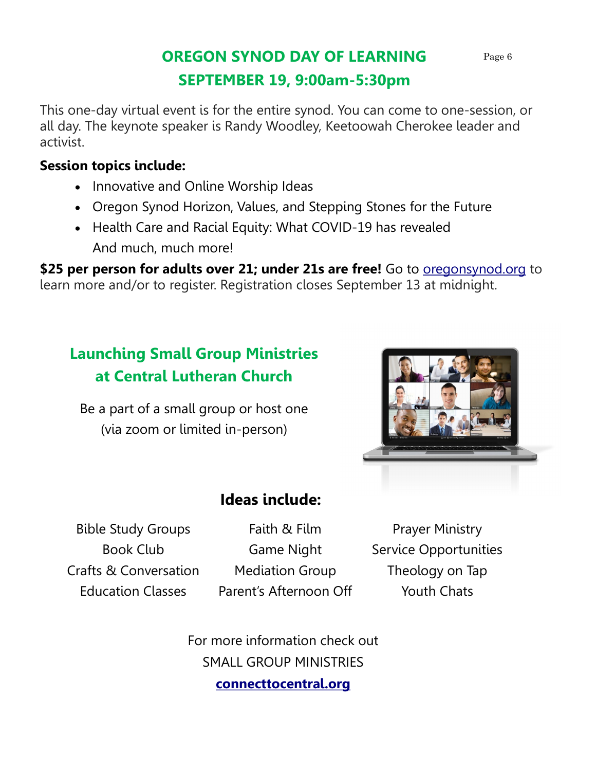# **OREGON SYNOD DAY OF LEARNING SEPTEMBER 19, 9:00am-5:30pm**

This one-day virtual event is for the entire synod. You can come to one-session, or all day. The keynote speaker is Randy Woodley, Keetoowah Cherokee leader and activist.

## **Session topics include:**

- Innovative and Online Worship Ideas
- Oregon Synod Horizon, Values, and Stepping Stones for the Future
- Health Care and Racial Equity: What COVID-19 has revealed And much, much more!

\$25 per person for adults over 21; under 21s are free! Go to **<oregonsynod.org>** to learn more and/or to register. Registration closes September 13 at midnight.

# **Launching Small Group Ministries at Central Lutheran Church**

Be a part of a small group or host one (via zoom or limited in-person)



# **Ideas include:**

Bible Study Groups Book Club Crafts & Conversation Education Classes

Faith & Film Game Night Mediation Group Parent's Afternoon Off

Prayer Ministry Service Opportunities Theology on Tap Youth Chats

For more information check out SMALL GROUP MINISTRIES **<connecttocentral.org>**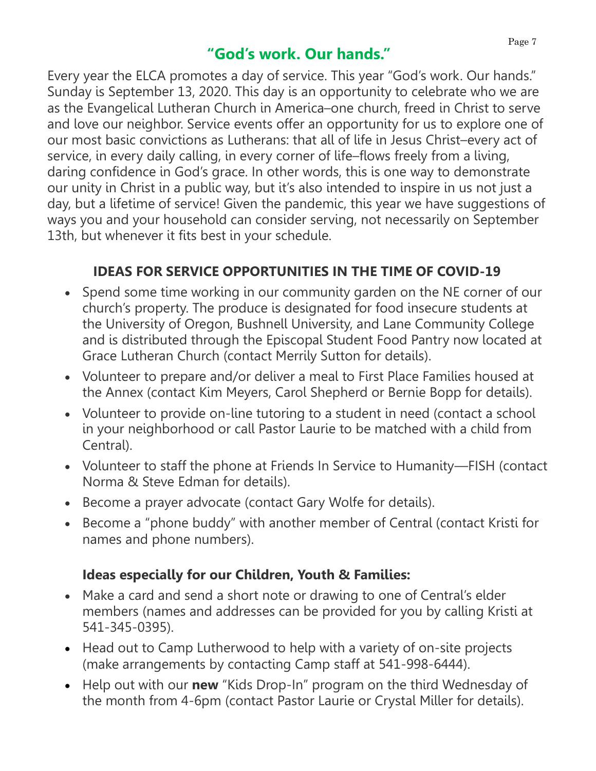## **"God's work. Our hands."**

Every year the ELCA promotes a day of service. This year "God's work. Our hands." Sunday is September 13, 2020. This day is an opportunity to celebrate who we are as the Evangelical Lutheran Church in America–one church, freed in Christ to serve and love our neighbor. Service events offer an opportunity for us to explore one of our most basic convictions as Lutherans: that all of life in Jesus Christ–every act of service, in every daily calling, in every corner of life–flows freely from a living, daring confidence in God's grace. In other words, this is one way to demonstrate our unity in Christ in a public way, but it's also intended to inspire in us not just a day, but a lifetime of service! Given the pandemic, this year we have suggestions of ways you and your household can consider serving, not necessarily on September 13th, but whenever it fits best in your schedule.

## **IDEAS FOR SERVICE OPPORTUNITIES IN THE TIME OF COVID-19**

- Spend some time working in our community garden on the NE corner of our church's property. The produce is designated for food insecure students at the University of Oregon, Bushnell University, and Lane Community College and is distributed through the Episcopal Student Food Pantry now located at Grace Lutheran Church (contact Merrily Sutton for details).
- Volunteer to prepare and/or deliver a meal to First Place Families housed at the Annex (contact Kim Meyers, Carol Shepherd or Bernie Bopp for details).
- Volunteer to provide on-line tutoring to a student in need (contact a school in your neighborhood or call Pastor Laurie to be matched with a child from Central).
- Volunteer to staff the phone at Friends In Service to Humanity—FISH (contact Norma & Steve Edman for details).
- Become a prayer advocate (contact Gary Wolfe for details).
- Become a "phone buddy" with another member of Central (contact Kristi for names and phone numbers).

## **Ideas especially for our Children, Youth & Families:**

- Make a card and send a short note or drawing to one of Central's elder members (names and addresses can be provided for you by calling Kristi at 541-345-0395).
- Head out to Camp Lutherwood to help with a variety of on-site projects (make arrangements by contacting Camp staff at 541-998-6444).
- Help out with our **new** "Kids Drop-In" program on the third Wednesday of the month from 4-6pm (contact Pastor Laurie or Crystal Miller for details).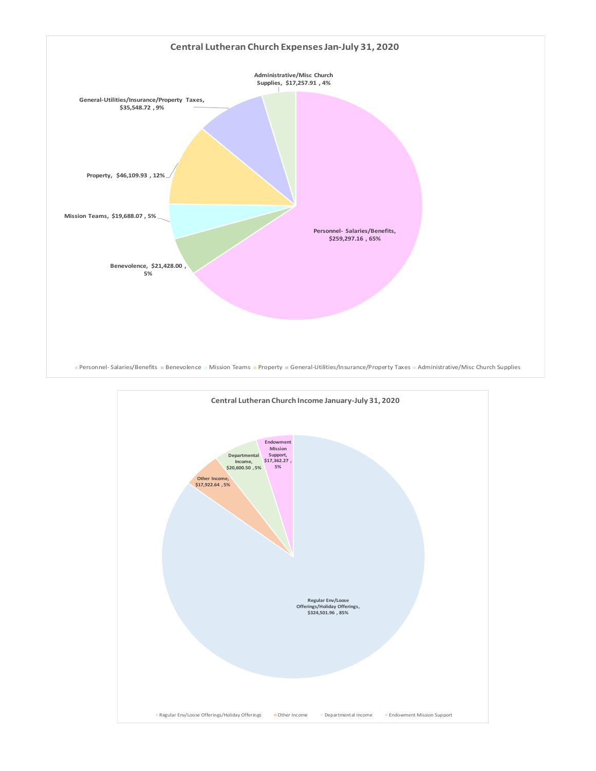